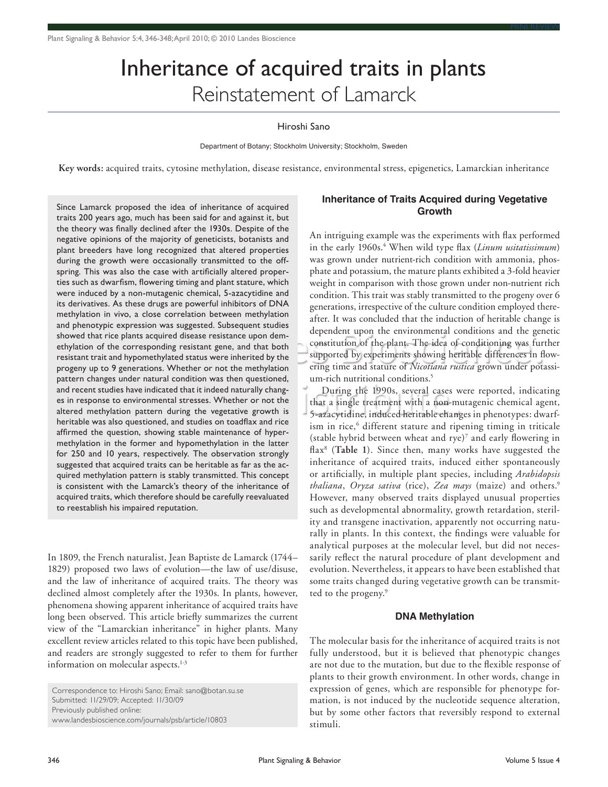# Inheritance of acquired traits in plants Reinstatement of Lamarck

mini review MINI REVIEW MINI REVIEW MINI REVIEW MINI REVIEW MINI REVIEW MINI REV

#### Hiroshi Sano

Department of Botany; Stockholm University; Stockholm, Sweden

**Key words:** acquired traits, cytosine methylation, disease resistance, environmental stress, epigenetics, Lamarckian inheritance

Since Lamarck proposed the idea of inheritance of acquired traits 200 years ago, much has been said for and against it, but the theory was finally declined after the 1930s. Despite of the negative opinions of the majority of geneticists, botanists and plant breeders have long recognized that altered properties during the growth were occasionally transmitted to the offspring. This was also the case with artificially altered properties such as dwarfism, flowering timing and plant stature, which were induced by a non-mutagenic chemical, 5-azacytidine and its derivatives. As these drugs are powerful inhibitors of DNA methylation in vivo, a close correlation between methylation and phenotypic expression was suggested. Subsequent studies showed that rice plants acquired disease resistance upon demethylation of the corresponding resistant gene, and that both resistant trait and hypomethylated status were inherited by the progeny up to 9 generations. Whether or not the methylation pattern changes under natural condition was then questioned, and recent studies have indicated that it indeed naturally changes in response to environmental stresses. Whether or not the altered methylation pattern during the vegetative growth is heritable was also questioned, and studies on toadflax and rice affirmed the question, showing stable maintenance of hypermethylation in the former and hypomethylation in the latter for 250 and 10 years, respectively. The observation strongly suggested that acquired traits can be heritable as far as the acquired methylation pattern is stably transmitted. This concept is consistent with the Lamarck's theory of the inheritance of acquired traits, which therefore should be carefully reevaluated to reestablish his impaired reputation.

In 1809, the French naturalist, Jean Baptiste de Lamarck (1744– 1829) proposed two laws of evolution—the law of use/disuse, and the law of inheritance of acquired traits. The theory was declined almost completely after the 1930s. In plants, however, phenomena showing apparent inheritance of acquired traits have long been observed. This article briefly summarizes the current view of the "Lamarckian inheritance" in higher plants. Many excellent review articles related to this topic have been published, and readers are strongly suggested to refer to them for further information on molecular aspects.<sup>1-3</sup>

Correspondence to: Hiroshi Sano; Email: sano@botan.su.se Submitted: 11/29/09; Accepted: 11/30/09 Previously published online: www.landesbioscience.com/journals/psb/article/10803

## **Inheritance of Traits Acquired during Vegetative Growth**

An intriguing example was the experiments with flax performed in the early 1960s.<sup>4</sup> When wild type flax (*Linum usitatissimum*) was grown under nutrient-rich condition with ammonia, phosphate and potassium, the mature plants exhibited a 3-fold heavier weight in comparison with those grown under non-nutrient rich condition. This trait was stably transmitted to the progeny over 6 generations, irrespective of the culture condition employed thereafter. It was concluded that the induction of heritable change is dependent upon the environmental conditions and the genetic constitution of the plant. The idea of conditioning was further supported by experiments showing heritable differences in flowering time and stature of *Nicotiana rustica* grown under potassium-rich nutritional conditions.<sup>5</sup>

During the 1990s, several cases were reported, indicating that a single treatment with a non-mutagenic chemical agent, 5-azacytidine, induced heritable changes in phenotypes: dwarfism in rice,<sup>6</sup> different stature and ripening timing in triticale (stable hybrid between wheat and rye)7 and early flowering in flax8 (**Table 1**). Since then, many works have suggested the inheritance of acquired traits, induced either spontaneously or artificially, in multiple plant species, including *Arabidopsis thaliana*, *Oryza sativa* (rice), *Zea mays* (maize) and others.9 However, many observed traits displayed unusual properties such as developmental abnormality, growth retardation, sterility and transgene inactivation, apparently not occurring naturally in plants. In this context, the findings were valuable for analytical purposes at the molecular level, but did not necessarily reflect the natural procedure of plant development and evolution. Nevertheless, it appears to have been established that some traits changed during vegetative growth can be transmitted to the progeny.<sup>9</sup>

### **DNA Methylation**

The molecular basis for the inheritance of acquired traits is not fully understood, but it is believed that phenotypic changes are not due to the mutation, but due to the flexible response of plants to their growth environment. In other words, change in expression of genes, which are responsible for phenotype formation, is not induced by the nucleotide sequence alteration, but by some other factors that reversibly respond to external stimuli.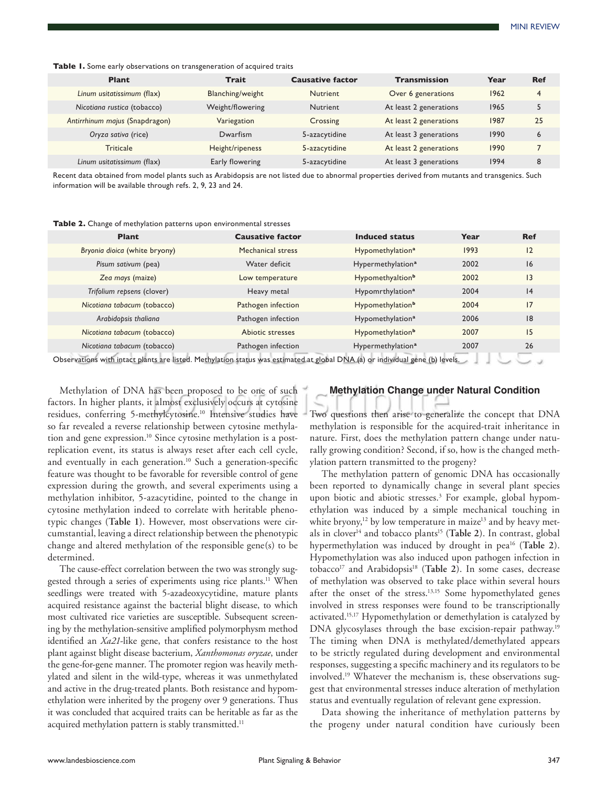Table 1. Some early observations on transgeneration of acquired traits

| Plant                          | Trait            | <b>Causative factor</b> | <b>Transmission</b>    | Year | <b>Ref</b> |
|--------------------------------|------------------|-------------------------|------------------------|------|------------|
| Linum usitatissimum (flax)     | Blanching/weight | <b>Nutrient</b>         | Over 6 generations     | 1962 | 4          |
| Nicotiana rustica (tobacco)    | Weight/flowering | <b>Nutrient</b>         | At least 2 generations | 1965 | 5          |
| Antirrhinum majus (Snapdragon) | Variegation      | Crossing                | At least 2 generations | 1987 | 25         |
| Oryza sativa (rice)            | Dwarfism         | 5-azacytidine           | At least 3 generations | 1990 | 6          |
| <b>Triticale</b>               | Height/ripeness  | 5-azacytidine           | At least 2 generations | 1990 |            |
| Linum usitatissimum (flax)     | Early flowering  | 5-azacytidine           | At least 3 generations | 1994 | 8          |

Recent data obtained from model plants such as Arabidopsis are not listed due to abnormal properties derived from mutants and transgenics. Such information will be available through refs. 2, 9, 23 and 24.

**Table 2.** Change of methylation patterns upon environmental stresses

| <b>Plant</b>                                                                                                                  | <b>Causative factor</b> | <b>Induced status</b>         | Year | <b>Ref</b> |  |  |  |  |
|-------------------------------------------------------------------------------------------------------------------------------|-------------------------|-------------------------------|------|------------|--|--|--|--|
| Bryonia dioica (white bryony)                                                                                                 | Mechanical stress       | Hypomethylation <sup>a</sup>  | 1993 | 12         |  |  |  |  |
| Pisum sativum (pea)                                                                                                           | Water deficit           | Hypermethylation <sup>a</sup> | 2002 | 16         |  |  |  |  |
| Zea mays (maize)                                                                                                              | Low temperature         | Hypomethyaltion <sup>b</sup>  | 2002 | 3          |  |  |  |  |
| Trifolium repsens (clover)                                                                                                    | Heavy metal             | Hypomrthylation <sup>a</sup>  | 2004 | 4          |  |  |  |  |
| Nicotiana tabacum (tobacco)                                                                                                   | Pathogen infection      | Hypomethylation <sup>b</sup>  | 2004 | 17         |  |  |  |  |
| Arabidopsis thaliana                                                                                                          | Pathogen infection      | Hypomethylation <sup>a</sup>  | 2006 | 8          |  |  |  |  |
| Nicotiana tabacum (tobacco)                                                                                                   | Abiotic stresses        | Hypomethylation <sup>b</sup>  | 2007 | 15         |  |  |  |  |
| Nicotiana tabacum (tobacco)                                                                                                   | Pathogen infection      | Hypermethylation <sup>a</sup> | 2007 | 26         |  |  |  |  |
| Observations with intact plants are listed. Methylation status was estimated at global DNA (a) or individual gene (b) levels. |                         |                               |      |            |  |  |  |  |

Methylation of DNA has been proposed to be one of such factors. In higher plants, it almost exclusively occurs at cytosine residues, conferring 5-methylcytosine.<sup>10</sup> Intensive studies have so far revealed a reverse relationship between cytosine methylation and gene expression.<sup>10</sup> Since cytosine methylation is a postreplication event, its status is always reset after each cell cycle, and eventually in each generation.<sup>10</sup> Such a generation-specific feature was thought to be favorable for reversible control of gene expression during the growth, and several experiments using a methylation inhibitor, 5-azacytidine, pointed to the change in cytosine methylation indeed to correlate with heritable phenotypic changes (**Table 1**). However, most observations were circumstantial, leaving a direct relationship between the phenotypic change and altered methylation of the responsible gene(s) to be determined.

The cause-effect correlation between the two was strongly suggested through a series of experiments using rice plants.<sup>11</sup> When seedlings were treated with 5-azadeoxycytidine, mature plants acquired resistance against the bacterial blight disease, to which most cultivated rice varieties are susceptible. Subsequent screening by the methylation-sensitive amplified polymorphysm method identified an *Xa21*-like gene, that confers resistance to the host plant against blight disease bacterium, *Xanthomonas oryzae*, under the gene-for-gene manner. The promoter region was heavily methylated and silent in the wild-type, whereas it was unmethylated and active in the drug-treated plants. Both resistance and hypomethylation were inherited by the progeny over 9 generations. Thus it was concluded that acquired traits can be heritable as far as the acquired methylation pattern is stably transmitted.<sup>11</sup>

## **Methylation Change under Natural Condition**

Two questions then arise to generalize the concept that DNA methylation is responsible for the acquired-trait inheritance in nature. First, does the methylation pattern change under naturally growing condition? Second, if so, how is the changed methylation pattern transmitted to the progeny?

The methylation pattern of genomic DNA has occasionally been reported to dynamically change in several plant species upon biotic and abiotic stresses.<sup>3</sup> For example, global hypomethylation was induced by a simple mechanical touching in white bryony,<sup>12</sup> by low temperature in maize<sup>13</sup> and by heavy metals in clover<sup>14</sup> and tobacco plants<sup>15</sup> (Table 2). In contrast, global hypermethylation was induced by drought in pea16 (**Table 2**). Hypomethylation was also induced upon pathogen infection in tobacco<sup>17</sup> and Arabidopsis<sup>18</sup> (Table 2). In some cases, decrease of methylation was observed to take place within several hours after the onset of the stress.<sup>13,15</sup> Some hypomethylated genes involved in stress responses were found to be transcriptionally activated.15,17 Hypomethylation or demethylation is catalyzed by DNA glycosylases through the base excision-repair pathway.<sup>19</sup> The timing when DNA is methylated/demethylated appears to be strictly regulated during development and environmental responses, suggesting a specific machinery and its regulators to be involved.19 Whatever the mechanism is, these observations suggest that environmental stresses induce alteration of methylation status and eventually regulation of relevant gene expression.

Data showing the inheritance of methylation patterns by the progeny under natural condition have curiously been